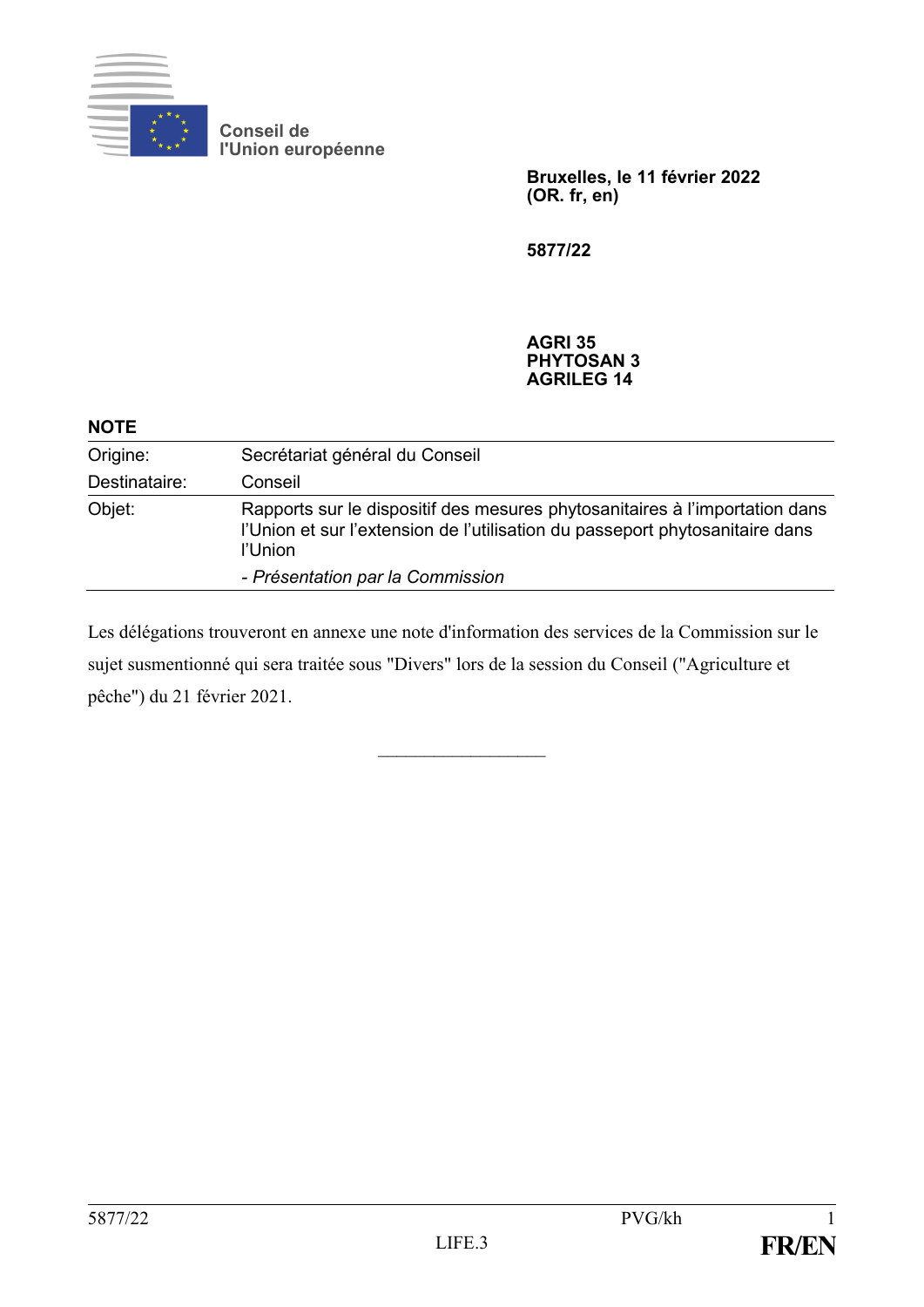

**Conseil de l'Union européenne**

> **Bruxelles, le 11 février 2022 (OR. fr, en)**

**5877/22**

**AGRI 35 PHYTOSAN 3 AGRILEG 14**

| <b>NOTE</b>   |                                                                                                                                                                        |
|---------------|------------------------------------------------------------------------------------------------------------------------------------------------------------------------|
| Origine:      | Secrétariat général du Conseil                                                                                                                                         |
| Destinataire: | Conseil                                                                                                                                                                |
| Objet:        | Rapports sur le dispositif des mesures phytosanitaires à l'importation dans<br>l'Union et sur l'extension de l'utilisation du passeport phytosanitaire dans<br>l'Union |
|               | - Présentation par la Commission                                                                                                                                       |

Les délégations trouveront en annexe une note d'information des services de la Commission sur le sujet susmentionné qui sera traitée sous "Divers" lors de la session du Conseil ("Agriculture et pêche") du 21 février 2021.

 $\frac{1}{2}$  ,  $\frac{1}{2}$  ,  $\frac{1}{2}$  ,  $\frac{1}{2}$  ,  $\frac{1}{2}$  ,  $\frac{1}{2}$  ,  $\frac{1}{2}$  ,  $\frac{1}{2}$  ,  $\frac{1}{2}$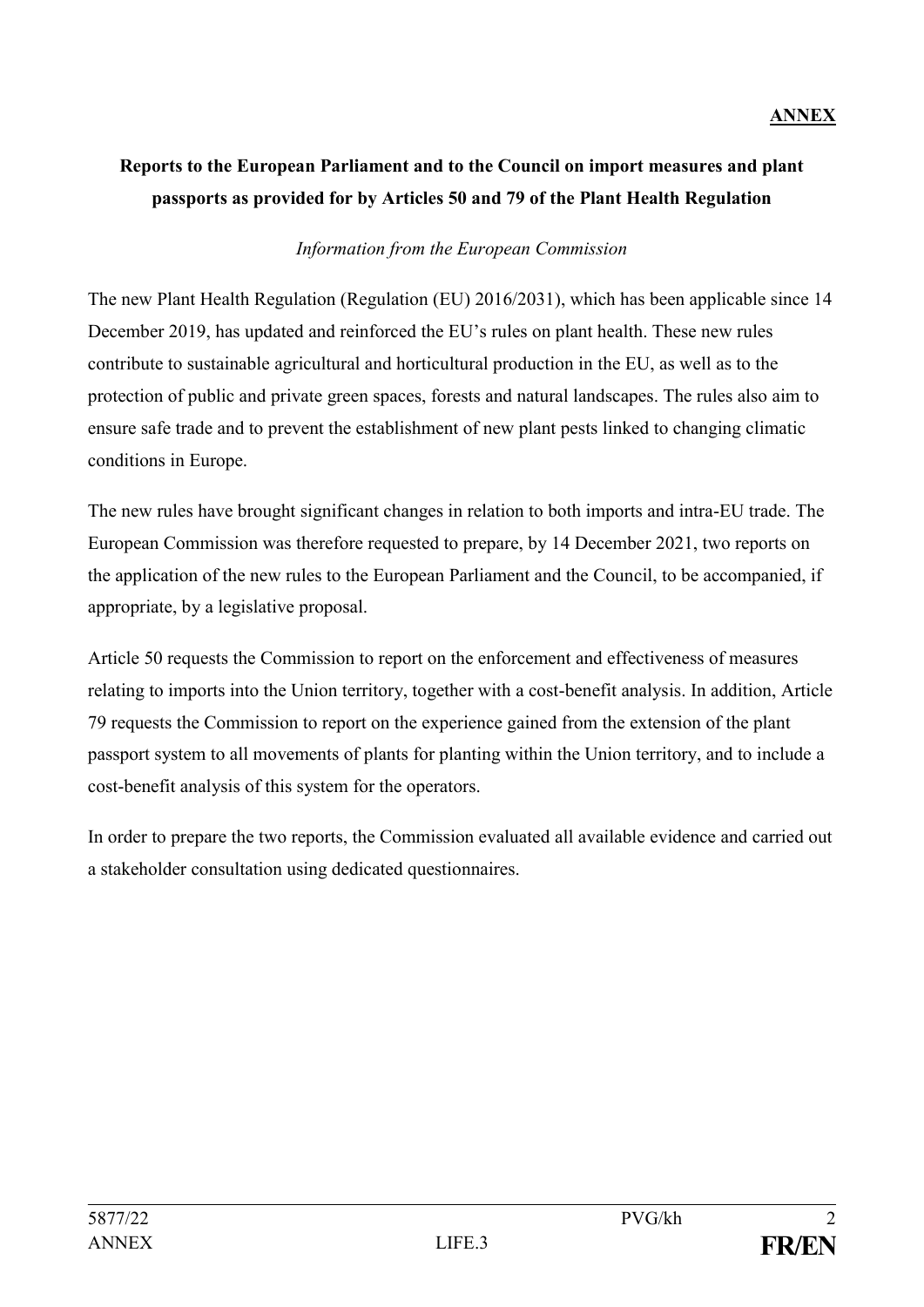### **ANNEX**

# **Reports to the European Parliament and to the Council on import measures and plant passports as provided for by Articles 50 and 79 of the Plant Health Regulation**

### *Information from the European Commission*

The new Plant Health Regulation (Regulation (EU) 2016/2031), which has been applicable since 14 December 2019, has updated and reinforced the EU's rules on plant health. These new rules contribute to sustainable agricultural and horticultural production in the EU, as well as to the protection of public and private green spaces, forests and natural landscapes. The rules also aim to ensure safe trade and to prevent the establishment of new plant pests linked to changing climatic conditions in Europe.

The new rules have brought significant changes in relation to both imports and intra-EU trade. The European Commission was therefore requested to prepare, by 14 December 2021, two reports on the application of the new rules to the European Parliament and the Council, to be accompanied, if appropriate, by a legislative proposal.

Article 50 requests the Commission to report on the enforcement and effectiveness of measures relating to imports into the Union territory, together with a cost-benefit analysis. In addition, Article 79 requests the Commission to report on the experience gained from the extension of the plant passport system to all movements of plants for planting within the Union territory, and to include a cost-benefit analysis of this system for the operators.

In order to prepare the two reports, the Commission evaluated all available evidence and carried out a stakeholder consultation using dedicated questionnaires.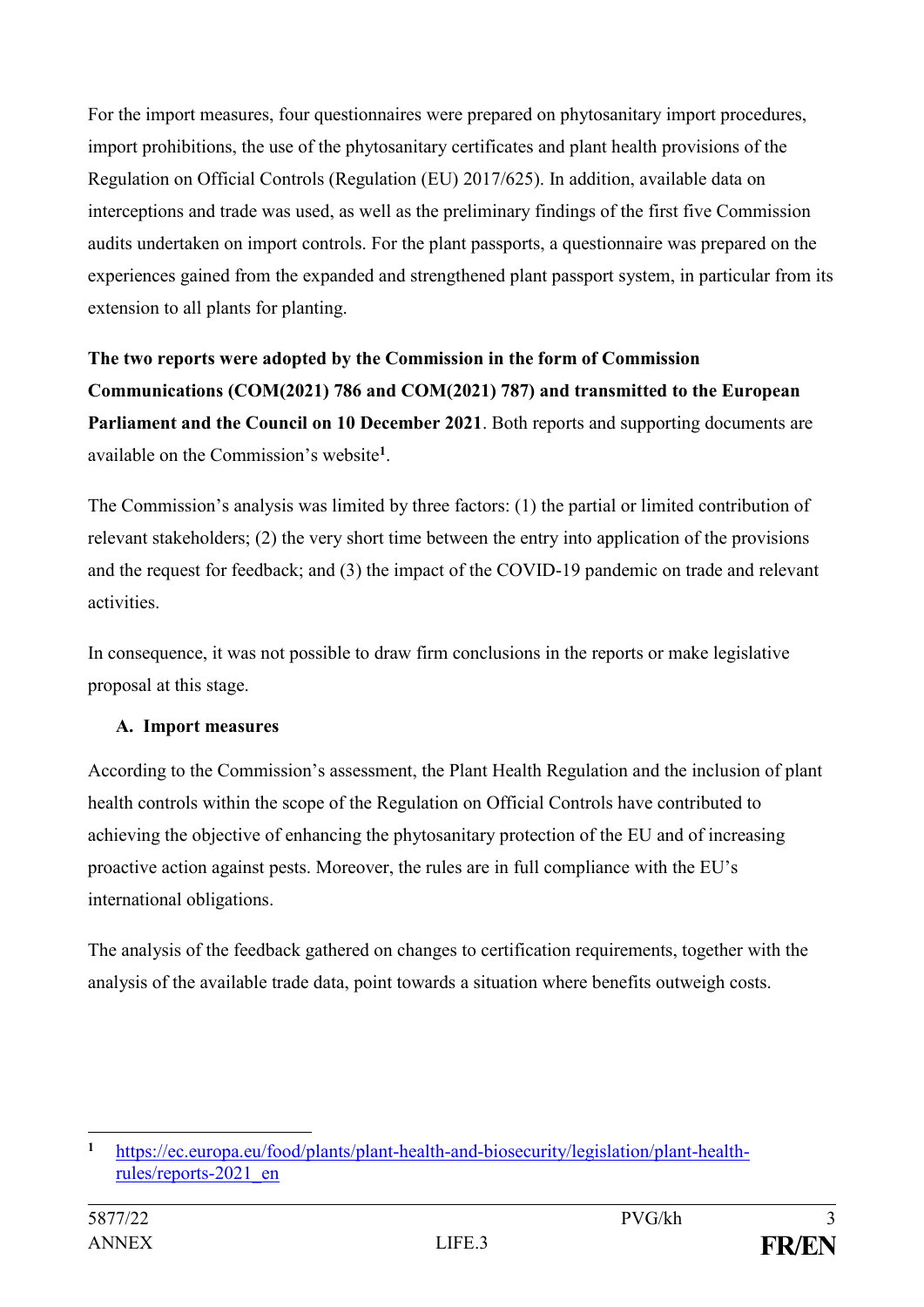For the import measures, four questionnaires were prepared on phytosanitary import procedures, import prohibitions, the use of the phytosanitary certificates and plant health provisions of the Regulation on Official Controls (Regulation (EU) 2017/625). In addition, available data on interceptions and trade was used, as well as the preliminary findings of the first five Commission audits undertaken on import controls. For the plant passports, a questionnaire was prepared on the experiences gained from the expanded and strengthened plant passport system, in particular from its extension to all plants for planting.

**The two reports were adopted by the Commission in the form of Commission Communications (COM(2021) 786 and COM(2021) 787) and transmitted to the European Parliament and the Council on 10 December 2021**. Both reports and supporting documents are available on the Commission's website**<sup>1</sup>** .

The Commission's analysis was limited by three factors: (1) the partial or limited contribution of relevant stakeholders; (2) the very short time between the entry into application of the provisions and the request for feedback; and (3) the impact of the COVID-19 pandemic on trade and relevant activities.

In consequence, it was not possible to draw firm conclusions in the reports or make legislative proposal at this stage.

# **A. Import measures**

According to the Commission's assessment, the Plant Health Regulation and the inclusion of plant health controls within the scope of the Regulation on Official Controls have contributed to achieving the objective of enhancing the phytosanitary protection of the EU and of increasing proactive action against pests. Moreover, the rules are in full compliance with the EU's international obligations.

The analysis of the feedback gathered on changes to certification requirements, together with the analysis of the available trade data, point towards a situation where benefits outweigh costs.

<sup>1</sup> **<sup>1</sup>** [https://ec.europa.eu/food/plants/plant-health-and-biosecurity/legislation/plant-health](https://ec.europa.eu/food/plants/plant-health-and-biosecurity/legislation/plant-health-rules/reports-2021_en)[rules/reports-2021\\_en](https://ec.europa.eu/food/plants/plant-health-and-biosecurity/legislation/plant-health-rules/reports-2021_en)